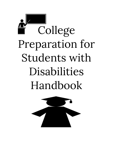# College Preparation for Students with Disabilities Handbook

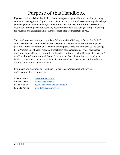## Purpose of this Handbook

If you're reading this handbook, then that means you are probably interested in pursuing education past high school graduation. This resource is intended to serve as a guide to help you navigate applying to college, understanding laws that are different for post-secondary institutions than high school, receiving accommodations in the college setting, advocating for yourself, and understanding other resources that are important to you.

This handbook was developed by Allison Solomon, M.S., CRC, Angela Stowe, Ph. D., LPC, NCC, Leslie Walker and Pamella Parker. Solomon and Stowe serve as disability Support personnel at the University of Alabama in Birmingham. Leslie Walker works as the College Prep Program Coordinator, Alabama Department of rehabilitation services/Lakeshore program. Pamella Parker is retired from the Jefferson County School System after working as a Transition Coordinator and Career Development Coordinator. She is now adjunct faculty at UAB and a consultant. This book was created with the support of the Jefferson County Community Transition Team.

If you have any questions or would like to discuss using this handbook for your organization, please contact us:

| Allison Solomon | asolomon@uab.edu                |
|-----------------|---------------------------------|
| Angela Stowe    | amstowe@uab.edu                 |
| Leslie Walker   | leslie.walker@rehab.alabama.gov |
| Pamella Parker  | pam9243@centurytel.net          |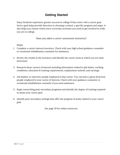## **Getting Started**

Many Students experience greater success in college if they enter with a career goal. Such a goal helps provide direction in choosing a school, a specific program and major. It also helps you choose which extra-curricular activities you need to get involved in while you are in college.

*Have you taken a career assessment inventory?*

Steps

- 1. Complete a career interest inventory. Check with your high school guidance counselor or vocational rehabilitation counselor for assistance.
- 2. Review the results in the inventory and identify the career areas in which you are most interested.
- 3. Research those careers of interest including information related to job duties, working conditions, education & training requirements, employment outlook, and earnings.
- 4. Job shadow or interview people employed in that career. You can learn a great deal from people employed in your career of interest. Check with your guidance counselor or vocational rehabilitation counselor if you need assistance.
- 5. Begin researching post-secondary programs and identify the degree of training required to attain your career goal.
- 6. Identify post-secondary settings that offer the program of study related to your career goal.

See page 29 for online resources.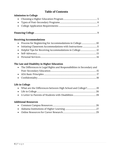## **Table of Contents**

| <b>Admission to College</b> |  |
|-----------------------------|--|
|                             |  |
|                             |  |
|                             |  |
|                             |  |

|--|--|--|

#### **Receiving Accommodations**

| • Initiating Classroom Accommodations with Instructions 11 |  |
|------------------------------------------------------------|--|
|                                                            |  |
|                                                            |  |
|                                                            |  |

#### **The Law and Disability in Higher Education**

| • The Differences in Legal Rights and Responsibilities in Secondary and |  |
|-------------------------------------------------------------------------|--|
|                                                                         |  |
|                                                                         |  |
|                                                                         |  |

#### **Life in College**

| • What are the Differences between High School and College?19 |  |
|---------------------------------------------------------------|--|
|                                                               |  |
|                                                               |  |

#### **Additional Resources**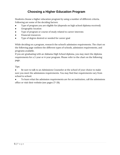## **Choosing a Higher Education Program**

Students choose a higher education program by using a number of different criteria. Following are some of the deciding factors:

- Type of program you are eligible for (depends on high school diploma received)
- Geographic location
- Type of program or course of study related to career interests
- Financial resources
- Type of degree desired or needed for career goal

While deciding on a program, research the school's admission requirements. The chart on the following page outlines the different types of schools, admission requirements, and programs available.

If you are graduating with an Alabama High School diploma, you may meet the diploma requirements for a 2-year or 4-year program. Please refer to the chart on the following page.

Tips:

• Be sure to talk to an Admissions Counselor at the school of your choice to make sure you meet the admissions requirements. You may find that requirements vary from school to school.

• To learn what the admission requirements are for an institution, call the admissions office or visit their website (see pages 27-28).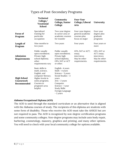## Types of Post-Secondary Programs

|                                                 | <b>Technical</b><br>College/<br><b>Vocational</b><br><b>School</b>                                                                                        | Community<br>College/Junior<br>College                                                                                                                                                          | <b>Four-Year</b><br>College/Liberal<br><b>Arts</b>                         | University                                                                 |
|-------------------------------------------------|-----------------------------------------------------------------------------------------------------------------------------------------------------------|-------------------------------------------------------------------------------------------------------------------------------------------------------------------------------------------------|----------------------------------------------------------------------------|----------------------------------------------------------------------------|
| <b>Focus of</b><br>Program                      | Specialized<br>training for<br>particular<br>occupation                                                                                                   | Two-year degree<br>in career area or<br>academic courses<br>for transfer                                                                                                                        | Four-year degree;<br>general academic<br>courses plus<br>focus on major    | Four-year<br>degree plus<br>graduate<br>programs                           |
| Length of<br>Program                            | Nine months to<br>two years                                                                                                                               | Two years                                                                                                                                                                                       | Four years                                                                 | Four years or<br>more                                                      |
| <b>Admission</b><br>Requirements                | Public-usually<br>open enrollment.<br>Private-high<br>school diploma;<br>other<br>requirements vary                                                       | Public-usually<br>open enrollment;<br>Private high<br>school diploma,<br>GPA, SAT or ACT<br>or other.                                                                                           | GPA, SAT or ACT;<br>essay;<br>interviews;<br>May be other<br>requirements. | GPA, SAT or<br>ACT; essay;<br>interviews;<br>May be other<br>requirements. |
| <b>High School</b><br>Coursework<br>Recommended | Basic skills in<br>math, science,<br>English, and<br>computer literacy.<br>Higher levels in<br>some programs.<br>Courses in<br>program's area<br>helpful. | English-4 years<br>Math - 4 years<br>Science - 3 years<br>Social Studies - 3<br>years<br>Arts - 2 years<br>Computer<br>Science - 1 year<br><b>Study Skills</b><br>Foreign Language<br>- 2 years |                                                                            |                                                                            |

#### **Alabama Occupational Diploma (AOD)**

The AOD is used through the standard curriculum or an alternative that is aligned with the Alabama courses of study. The recipients of this diploma are students with some form of disability. Those who receive the AOD must take the AHSGE but are not required to pass. The AOD is recognized by non-degree certification programs and some community colleges. Non-degree programs may include auto body repair, barbering, cosmetology, masonry, graphics and printing, and many other options. You will need to check with your local community college for options available.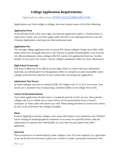## **College Application Requirements**

*Information taken from [WWW.COLLEGEBOARD.COM](http://www.collegeboard.com/)*

Applications vary from college to college, but most require some of all of the following:

#### **Application Form**

In the old days (well, a few years ago), you had one application option--a handwritten or typed form. Today, you can often apply online directly to an individual school or use the Common Application, entering your information just once.

#### **Application Fee**

The average college application fee is around \$35. (Some colleges charge up to \$60, while others don't have an application fee at all.) The fee is usually nonrefundable, even if you're not offered admission. Many colleges offer fee waivers for application from low-income families. If you need a fee waiver, call the college's admissions office for more information.

#### **High School Transcript**

This form is filled out of an official of your high school. It comes with your admissions materials, you should give it to the guidance office to complete as early as possible. Some colleges send this form directly to your school after receiving your application.

#### **Admissions Test Scores**

At many colleges, you have to submit SAT®, SAT Subject test ™, or ACT test scores. Test scores are a standard way of measuring a student's ability to do college-level work.

#### **Letters of Recommendation**

Your entire application should create a consistent portrait of who you are. Many private colleges ask you to submit one or more letters of recommendation from a teacher, counselor, or other adult who knows you well. When asking someone to write such a letter, be sure to do well before the college's deadline.

#### **Essay**

If you're applying to private colleges, your essay often plays a very important role. Whether you're writing an autobiographical statement or an essay on a specific theme, take the opportunity to express your individuality in a way that sets you apart from other applicants.

#### **Interview**

This is required or recommended by some colleges. Even if it's not required, it's a good idea to set up an interview because it gives you a chance to make a personal connection with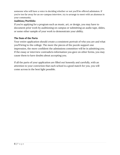someone who will have a voice in deciding whether or not you'll be offered admission. If you're too far away for an on-campus interview, try to arrange to meet with an alumnus in your community.

#### **Audition/Portfolio**

If you're applying for a program such as music, art, or design, you may have to document prior work by auditioning on campus or submitting an audio tape, slides, or some other sample of your work to demonstrate your ability.

#### **The Sum of the Parts**

Your entire application should create a consistent portrait of who you are and what you'll bring to the college. The more the pieces of the puzzle support one impression, the more confident the admissions committee will be in admitting you. If the essay or interview contradicts information you gave on other forms, you may cause them to have doubts about accepting you.

If all the parts of your application are filled out honestly and carefully, with an attention to your conviction that each school is a good match for you, you will come across in the best light possible.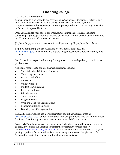## **Financing College**

#### COLLEGE IS EXPENSIVE

You will need to plan ahead to budget your college expenses. Remember, tuition is only part of how much it costs to attend college. Be sure to consider fees, room, computer/software, books, transportation, supplies, food/meal plan and any recreation or fun activities you'd like to do.

Once you calculate your school expenses, factor in financial resources including scholarships, grants, parent contributions, government and/or private loans, work study or off-campus work, gift money and savings.

*If a financial gap exists, you may want to see if you are eligible for financial assistance.*

Begin by completing the Free Application for Federal student Aid at [www.fafsa.ed.gov/](http://www.fafsa.ed.gov/) to see if you are eligible for grants, scholarships, work study jobs, or loans.

You do not have to pay back money from grants or scholarships but you do have to pay back loans.

Additional resources to explore financial assistance include;

- You High School Guidance Counselor
- Your college of choice
- Financial Aid office
- **Admissions**
- College Catalog
- **Student Organizations**
- Parents' employers
- Friends' parents
- Your community
- Large employers
- Civic and Religious Organizations
- Scholarship Search Engines
- Disability-specific organizations

The ADRS public website has more information about financial resources at [www.rehab.state.al.us/](http://www.rehab.state.al.us/). Under "Information for College students" you can find resources for financial aid for higher education from a number of different places.

**Start early!** Scholarships have early deadlines. Each scholarship will indicate the last day to apply. If you miss the deadline, you miss the opportunity for free money. Go to [www.SayStudent.com/scholarship](http://www.saystudent.com/scholarship) search and additional resources to assist you in putting together a financial aid application. You may want to do a Google search for "scholarship applications" to get additional resources available.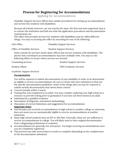## **Process for Registering for Accommodations**

Applying for Accommodations

Disability Support Services offices have similar procedures for setting up accommodations and services for students with disabilities.

Because all schools, however, are not exactly the same, the first and most important step is to contact the institution and find out what the application procedures and documentation requirements are.

The office that provides services for students with disabilities may be called different things. You may try locating the office by searching for one of the following:

| ADA Office                    | <b>Disability Support Services</b> |
|-------------------------------|------------------------------------|
| Office of Disability Services | <b>Student Support Services</b>    |

Some schools do not have stand-alone offices that service students with disabilities. The person that coordinates accommodations may have multiple roles. You may try the following offices to locate where services are housed:

**Counseling services by Counseling Services** Student Support Services

● Student Affairs ● TRIO Academic Services

**Academic Support Services** 

#### **Documentation**

You will be required to submit documentation of your disability in order to be determined as eligible to receive accommodations. Be sure to check with your institution to find out the specific documentation guidelines. Some of the things that you may be required to submit include documentation that meets these criteria:

- Current (usually within 3 years)
- Testing that was completed as an adult. You may consider exploring your high school as a resource to provide testing prior to graduation if you have not been tested as an adult.
- Submitted by a qualified evaluator
- Description of diagnosis, assessment methodology
- Discussion of current limitations and suggestions for accommodations **Important Notes**
- Just because you received accommodations in high school or another college or university, does not mean you are automatically eligible to receive accommodations at another institution.
- Many high school students have an IEP or 504 Plan. Generally, these are not sufficient to receive accommodations in college. You will likely need to have original documentation from a diagnosing professional or evaluator.
- Accommodations are generally not retroactive. You begin receiving accommodations once you are completely registered.
- This process may take several days to weeks to complete depending on the completeness of the documentation submitted.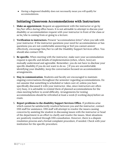● Having a diagnosed disability does not necessarily mean you will qualify for accommodations.

## **Initiating Classroom Accommodations with Instructors**

- 1. **Make an appointment.** Request an appointment with the instructor or go by his/her office during office hours. It is not advisable to attempt to discuss your disability or accommodation request with your instructor in front of the class or as he/she is coming from or going to a lecture.
- 2. **Verification to instructors.** Present "accommodation letter" when you talk with your instructor. If the instructor questions your need for accommodation or has questions you are not comfortable answering or feel you cannot answer effectively, encourage him/her to call the Disability Support Services office. You should also contact DSS.
- 3. **Be specific.** When meeting with the instructor, make sure your accommodation request is specific and details of implementation (when, where, how) are mutually understood and agreeable. Remember, you do not have to disclose your specific disability if you do not want to do so. If you are uncomfortable identifying your disability, keep the conversation focused on accommodation arrangements.
- 4. **Stay in communication**. Students and faculty are encouraged to maintain ongoing conversations throughout the semester regarding accommodations. Do not assume that something is scheduled or taken care of, unless you have specifically discussed it with your instructor. Also, since instructors are often very busy, it is advisable to remind them of planned accommodations for the class meeting before to avoid difficulty. Arrangements for testing accommodations should be refreshed at least a week (5 working days) before an exam.
- 5. **Report problems to the disability Support Services Office.** If problems arise which cannot be satisfactorily resolved between you and the instructor, contact DSS staff for assistance. DSS staff will attempt to resolve the issues causing concerns by assisting the student in discussing issues with the instructor or head of the department in an effort to clarify and resolve the issues. Most situations are positively resolved through DSS consultation. However, there is a dispute resolution process and a formal complaint procedure, if needed. Check with your institution for the specific procedure.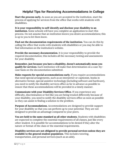## **Helpful Tips for Receiving Accommodations in College**

**Start the process early.** As soon as you are accepted to the institution, start the process of applying for services from the office that works with students with disabilities.

**It is your responsibility to self-identify and disclose your disability to an institution.** Some schools will have you complete an application to start this process. Do not assume that an institution knows you desire accommodations; this is up to you to let them know.

**Find out the documentation requirements of the institution.** You can do this by calling the office that works with students with disabilities or you may be able to find information on the institution's website.

**Provide the necessary documentation.** It is your responsibility to provide the required documentation; this includes all the necessary testing and assessments for your disability.

**Remember, just because you have a disability, doesn't automatically mean you qualify for services.** Each institution will make that determination on a case-bycase basis on the documentation submitted.

**Make requests for special accommodations early.** If you require accommodations that need special arrangements, such as an interpreter or captionist, books in alternative format, special assistive technology (including software and hardware), you need to notify the disability services office as far in advance as possible to ensure that these accommodations will be provided in a timely manner.

**Communicate with your Disability Services Office.** If you experience any difficulty, discrimination or feel like you are being treated differently because of your disability, you need to notify the disability services office as soon as possible so they can assist in finding a solution to the problem.

**Purpose of Accommodations.** Accommodations are designed to provide support for your disability so that you can perform up to your potential. They are not designed to provide an advantage compared to your peers.

**You are held to the same standard as all other students.** Students with disabilities are expected to complete the essential requirements of all classes, just like every other student. It is possible for accommodations to be denied if they alter the nature or format of the class or the essential requirements.

**Disability services are not obligated to provide personal services unless they are available to the general student population.** This includes tutoring, transportation, and personal services (such as an aide).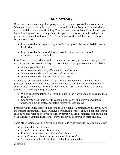## **Self-Advocacy**

Now that you are in college, it's up to you to advocate for yourself and your needs. When you were in high school, your parents and teachers likely determined what you needed and discussed your disability. Teachers and parents likely identified that you had a disability and made arrangements for you to receive services. In college, the process works much differently. In college, you must do the following to receive accommodations:

- It is the student's responsibility to self-identify and disclose a disability to an institution.
- It is the student's responsibility to provide the necessary required documentation of a disability.

In addition to self-identifying and providing the necessary documentation, you will need to be able to answer these questions when arranging for your accommodations"

- What is your disability?
- How does your disability affect you in the classroom?
- What accommodations have been helpful in the past?
- What accommodations do you think you need?

Advocating for yourself also means that it is your responsibility to talk to your professors about what you need. You may choose to use some accommodations in some classes and choose not to use them in others. So, you will need to be able to discuss the following with professions:

- Which accommodations you intend to use in the classroom (don't assume that they know)
- Coordinate with them how the accommodations will be provided, such as extended time on tests, alternative format for testing, etc.

Professors and instructors will not remind you when assignments are due if you have incomplete assignments. They will have no parental contact. They expect that you will read, save, and refer back to your course syllabus. You are completely responsible for your classes. If you need assistance, they expect you to approach them and ask.

Some other examples of things you will need to do to advocate for yourself in college:

- Act as independent adults
- Arrange your own weekly schedule
- Contact your instructors regarding assistance
- Arrange for and obtain your own personal tutoring
- Self-monitor and seek assistance and help when needed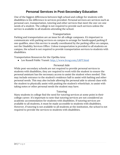## **Personal Services in Post-Secondary Education**

One of the biggest differences between high school and college for students with disabilities is the difference in services provided. Personal services are services such as personal care, transportation, tutoring and other services that meet the one-on-one needs of a student. The college is not required to provide such services unless the service is available to all students attending the school.

#### Transportation

Parking and transportation are an issue for all college campuses. It's important to communicate with parking services on campus to arrange for handicapped parking if one qualifies, since this service is usually coordinated by the parking office on campus, not the Disability Services Office. Unless transportation is provided to all students on campus, the school is not required to provide transportation services to students with disabilities.

Transportation Resources for the Opelika Area:

● Lee Russell Public Transit:<http://www.lrcog.com/LRPT.html>

#### Personal Aide

While post-secondary schools are not required to provide personal services to students with disabilities, they are required to work with the student to ensure the personal assistant has the necessary access to assist the student when needed. This may include entrance to the student's residence hall to assist with bathing and other personal needs. This may also include allowing the personal aide to attend class with the student to physically assist with pushing the student's wheelchair, to assist with taking notes or other personal needs the student may have.

#### Tutoring

Many students in college find the need for tutoring services at some point in their college career. It's important to note that tutoring services are not considered an academic accommodation for students with disabilities. If tutoring services are available to all students, it must be made accessible to students with disabilities. However, if tutoring is not available to all students at the institution, the school is not required to provide the services to students with disabilities.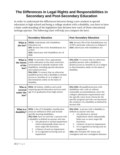## **The Differences in Legal Rights and Responsibilities in Secondary and Post-Secondary Education**

In order to understand the differences between being a new student in special education in high school and being a college student with a disability, you have to have a basic understanding of the legislation that dictates how each of those educational settings operate. The following chart will help you compare the laws:

|                                                                                                                                                                                                                                                                                                                                                                                                                                                                       | <b>Secondary Education</b>                                                                                                                                                                                                                                                                                                                                                                          | <b>Post-Secondary Education</b>                                                                                                                                                                                                                                                                                                                                        |
|-----------------------------------------------------------------------------------------------------------------------------------------------------------------------------------------------------------------------------------------------------------------------------------------------------------------------------------------------------------------------------------------------------------------------------------------------------------------------|-----------------------------------------------------------------------------------------------------------------------------------------------------------------------------------------------------------------------------------------------------------------------------------------------------------------------------------------------------------------------------------------------------|------------------------------------------------------------------------------------------------------------------------------------------------------------------------------------------------------------------------------------------------------------------------------------------------------------------------------------------------------------------------|
| What is<br>the law?                                                                                                                                                                                                                                                                                                                                                                                                                                                   | <b>IDEAL:</b> Individuals with Disabilities<br><b>Education Act</b><br>504: Section 504 of the Rehabilitation Act<br>of 1973<br>ADA: Americans with Disabilities Act of<br>1990                                                                                                                                                                                                                     | 504: Section 504 of the Rehabilitation Act<br>of 1973, particular reference to Subpart E<br><b>ADA:</b> Americans with Disabilities Act                                                                                                                                                                                                                                |
| What is<br>the intent<br>of the<br>law?                                                                                                                                                                                                                                                                                                                                                                                                                               | <b>IDEA:</b> To provide a free, appropriate<br>public education in the least restrictive<br>environment to identify students with<br>disabilities, including special education<br>and related services.<br>504/ADA: To ensure that no otherwise<br>qualified person with a disability is denied<br>access to, benefits of, or is subject to<br>discrimination solely on the basis of<br>disability. | 504/ADA: To ensure that no otherwise<br>qualified person with a disability is<br>denied access to, benefits of, or is subject<br>to discrimination solely on the basis of<br>disability.                                                                                                                                                                               |
| Who is<br>covered<br>under the<br>law?                                                                                                                                                                                                                                                                                                                                                                                                                                | IDEA: All infants, children and youth<br>requiring special education services until<br>age 21 or graduation from high school.                                                                                                                                                                                                                                                                       | 504/ADA: All qualified persons with<br>disabilities who, with or without<br>reasonable accommodations, meet the<br>college's admissions requirements and<br>the specific entry level criteria for the<br>specific program and who can document<br>the existence of a disability as defined by<br>Section 504.                                                          |
| What is a<br><b>IDEA:</b> A list of 13 disability classification<br>areas are defined in IDEA and include<br>disability?<br>specific learning disabilities.<br>504/ADA: have no such list. A person with<br>a disability is defined as anyone who has:<br>Any physical or mental impairment<br>1.<br>which substantially limits one or<br>more major life functions;<br>A history of such an impairment<br>2.<br>Or is regarded as having such an<br>3.<br>impairment |                                                                                                                                                                                                                                                                                                                                                                                                     | 504/ADA: A person with a disability is<br>defined as anyone who has:<br>Any physical or mental<br>1.<br>impairment which substantially<br>limits one or more major life<br>functions;<br>A history of such an impairment<br>2.<br>3.<br>Or is regarded as having such an<br>impairment<br>ADA: also includes HIV status and<br>contagious and non-contagious diseases. |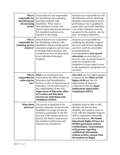| Who is<br>responsible for<br>identifying and<br>documenting<br>needs? | School districts are responsible<br>for identifying and evaluating<br>potential students with<br>disabilities. When such a<br>determination is made, the<br>district plans educational services<br>for classified students at no<br>expense to the family.                                                                                      | Students are responsible for self-<br>identification and for obtaining<br>disability documentation from a<br>professional who is qualified to<br>assess their particular disability;<br>cost of the evaluation must be<br>assumed by the student, not the<br>post-secondary institution.                                                                                                                                       |
|-----------------------------------------------------------------------|-------------------------------------------------------------------------------------------------------------------------------------------------------------------------------------------------------------------------------------------------------------------------------------------------------------------------------------------------|--------------------------------------------------------------------------------------------------------------------------------------------------------------------------------------------------------------------------------------------------------------------------------------------------------------------------------------------------------------------------------------------------------------------------------|
| Who is<br>responsible for<br>initiating service<br>delivery?          | School districts are responsible<br>for identifying students with<br>disabilities and providing special<br>education programs and services,<br>including related services, and<br>transition services as delineated<br>in an Individual Education<br>Program.                                                                                   | Students are responsible for<br>notifying the disability Support<br>Services staff of their disability<br>and their need for reasonable<br>accommodations.<br>Accommodations (not special<br>education) are provided on a<br>case-by-case, as needed basis in<br>order for students with<br>disabilities to have equal access<br>to the institution's programs and<br>activities.                                              |
| Who is<br>responsible for<br>enforcing the<br>law?                    | <b>IDEA</b> is an entitlement law,<br>enforced by the Office of Special<br><b>Education and Rehabilitation</b><br>Services in the US Department of<br>Education. Local enforcement is<br>the responsibility of the NYS<br>Department of Education office<br>of Vocation and Education<br>Services for Individuals with<br>Disabilities (VESID). | 504/ADA: are civil rights statutes<br>overseen by the Office of Civil<br>Rights (OCR) and the US<br>Department of Justice in<br>conjunction with the Equal<br><b>Employment Opportunity</b><br><b>Commission (EEOC).</b>                                                                                                                                                                                                       |
| What about<br>advocacy?                                               | The parent or guardian is the<br>primary advocate. Students with<br>disabilities from age 14 must be<br>invited to participate in the IEP<br>process. If the student does not<br>attend, the district must ensure<br>the student's preferences and<br>interests are considered.                                                                 | Students must be able to self-<br>identify and discuss their<br>disability and needs in order to<br>work with the Disability Support<br>staff to implement reasonable<br>accommodations. The Family<br><b>Educational Rights Privacy Act</b><br>(FERPA) guarantees student<br>confidentiality. Conversations<br>with parents regarding<br>confidential information<br>without written consent from<br>the student are illegal. |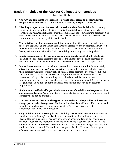## **Basic Principles of the ADA for Colleges & Universities**

By J. Trey Duffy

- 1. **The ADA is a civil rights law intended to provide equal access and opportunity for people with disabilities.** It is not intended to afford anyone special privileges.
- 2. **Disability = Impairment + Substantial Limitation + Major Life Activity.** Determining impairments and major life activities is relatively straightforward. Measuring what constitutes a "substantial limitation" is the complete aspect of determining disability. Not everyone with impairment is disabled; only those whose impairment rise to the level of substantial limitation" are qualified as disabled.
- 3. **The individual must be otherwise qualified.** In education, this means the individual meets the academic and technical standards for admission or participation. However, if the qualification for attending a specific event, such as a lecture or performance, is having a ticket, then an individual with a disability processing a ticket is qualified.
- 4. **Institutions must provide reasonable accommodations to qualified individuals with disabilities.** Reasonable accommodations are modifications to policies, practices of environments that allow an individual with a disability equal access or opportunity.
- 5. **Institutions do not need to provide a reasonable accommodation if it fundamentally alters the nature of the program or activity.** For example, a student, who because of their disability will miss several weeks of class, asks for permission to work from home and not attend class. This may be reasonable, but the request can be denied if the instructor/college believes attending class is fundamental. Attendance may be fundamental in a foreign language class and not be fundamental in math (e.g. all the math assignments can be done at home and class participation may not be an essential requirement.)
- 6. **Students must self-identify, provide documentation of disability, and request services and accommodations.** Accommodations requested after the fact are not appropriate and generally need not be provided.
- 7. **The institution can decide on the type of accommodation to be provided and need not always provide what is requested.** The institution should consider specific requests and provide them whenever reasonable and feasible. The primary issue is that accommodations need to be "effective."
- 8. **Only individuals who currently have a "disability" are entitled to accommodations.** An individual with a "history" of a disability is protected from discrimination but is not disabled for the purposes of receiving services and accommodations. For example, an individual acquires the substantially limiting impairment of cancer. For two years, the student requests and receives accommodations. Three years after being diagnosed, the student is fully recovered. The student no longer is disabled. However, they are protected against discrimination related to their prior history of having cancer.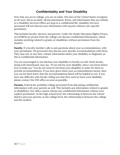## **Confidentiality and Your Disability**

Now that you are in college, you are an adult. The laws of the United States recognize an 18-year-old as an adult. All documentation, forms, and information that you submit to a Disability Services Office are kept in a confidential file. Disability Services personnel will not discuss your information with anyone without your specific permission.

This includes faculty, doctors, and parents. Under the family Education Rights Privacy Act (FERPA) no person from the college can discuss confidential information, which includes anything related to grades or disabilities without permission from the student.

**Faculty.** If a faculty member calls to ask questions about your accommodations, with your permission, DS personnel may discuss your specific accommodations with them. They may not, at any time, release information about your disability or diagnosis, as this is confidential information.

You are encouraged to not disclose your disability to faculty as well. Some faculty, being well-intentioned, may say, "If you tell me your disability, then I can know better how to help you." You do not need to tell them your disability in order for them to provide accommodations. If you have given them your accommodations memo, then you can let them know that the accommodations listed will be helpful to you. If you have any difficulty with faculty telling you that they need to know your disability, please contact the DSS office as soon as possible.

**Parents.** Federal law prohibits college personnel from discussing confidential information with your parents as well. This includes any information related to grades or disabilities. Our office cannot release any confidential information without your explicit permission. At the high school level, the relationship is between the school district and your parents; at the college level, the relationship is between the college and the student.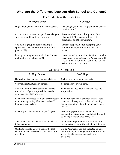## **What are the Differences between High School and College?**

| In High School                                                                                   | In College                                                                                                                                                                  |
|--------------------------------------------------------------------------------------------------|-----------------------------------------------------------------------------------------------------------------------------------------------------------------------------|
| High school, you are entitled to education.                                                      | In College, you have a "right to equal access"<br>to education."                                                                                                            |
| Accommodations are designed to make you<br>successful and lead to graduation.                    | Accommodations are designed to "level the<br>playing field" between students with<br>disabilities and those without.                                                        |
| You have a group of people making a<br>specialized plan for your education (504<br>plan or IEP). | You are responsible for designing your<br>educational experiences and plan for<br>success.                                                                                  |
| Laws governing high school education are.<br>included in the IDEA of 2004.                       | Laws governing education for students with<br>disabilities in college are the Americans with<br>Disabilities Act 1990 and Section 504 of the<br>Rehabilitation Act of 1973. |

For Students with Disabilities

| In High School                                                                                                             | In College                                                                                                                                           |
|----------------------------------------------------------------------------------------------------------------------------|------------------------------------------------------------------------------------------------------------------------------------------------------|
| High school is mandatory and usually free.                                                                                 | College is voluntary and expensive.                                                                                                                  |
| Your time is structured by others.                                                                                         | You manage your own time.                                                                                                                            |
| You can count on parents and teachers to<br>remind you of your responsibilities and to<br>guide you in setting priorities. | You must balance your responsibilities and<br>set priorities.                                                                                        |
| Each day you proceed from one class directly<br>to another, spending 6 hours each day-30<br>hours a week-in class.         | You often have hours between classes; class<br>times vary throughout the day and evening<br>and you spend only 12 to 16 hours each week<br>in class. |
| Most of your classes are arranged for you.                                                                                 | You arrange your own schedule in<br>consultation with our adviser. Schedules tend<br>to look lighter than they really are.                           |
| You are not responsible for knowing what it<br>takes to graduate.                                                          | Graduation requirements are complex. You<br>are expected to know those that apply to you.                                                            |
| Guiding principle: You will usually be told<br>what to do and corrected if your behavior is<br>out of line.                | Guiding principle: You are expected to take<br>responsibility for what you do and don't do as<br>well as for the consequences of your<br>decisions.  |

### General Differences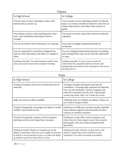| Classes                                                                                                 |                                                                                                                                                                            |  |
|---------------------------------------------------------------------------------------------------------|----------------------------------------------------------------------------------------------------------------------------------------------------------------------------|--|
| In High School                                                                                          | In College                                                                                                                                                                 |  |
| You do most of your studying in class, with<br>homework as a back-up.                                   | You do most of your studying outside of class (at<br>least 2 to 3 hours outside of class for each hour in<br>class) with lectures and other class work as a<br>guide.      |  |
| You seldom need to read anything more than<br>once, and sometimes listening in class is<br>enough.      | You need to review class notes and text material<br>regularly.                                                                                                             |  |
| You are provided with textbooks at no expense.                                                          | You need to budget substantial funds for<br>textbooks.                                                                                                                     |  |
| You are expected to read short assignments<br>that are then discussed, and often re-taught in<br>class. | You are assigned substantial amounts of reading<br>and writing which may not be directly addressed<br>in class.                                                            |  |
| Guiding principle: You will usually be told in class<br>what you need to learn from assigned readings.  | Guiding principle: It's up to you to read and<br>understand the assigned material; lectures and<br>assignments proceed from the assumption that you've<br>already done so. |  |

## Tests

| In High School                                                                                                                                                                                                    | In College                                                                                                                                                                                                                                    |
|-------------------------------------------------------------------------------------------------------------------------------------------------------------------------------------------------------------------|-----------------------------------------------------------------------------------------------------------------------------------------------------------------------------------------------------------------------------------------------|
| Testing is frequent and covers small amounts of<br>material.                                                                                                                                                      | Testing is usually infrequent and may be<br>cumulative, covering large amounts of material.<br>You, not the professor, need to organize the<br>material to prepare for the test. A particular<br>course may have only 2 or 3 tests in a term. |
| Make up tests are often available.                                                                                                                                                                                | *Makeup tests are seldom an option, if they are,<br>you need to request them.                                                                                                                                                                 |
| Teachers frequently rearrange test dates to avoid<br>conflict with school events.                                                                                                                                 | Professors in different courses usually schedule<br>tests without regard to the demands of other<br>courses or outside activities.                                                                                                            |
| Teachers frequently conduct review sessions,<br>pointing out the most important concepts.                                                                                                                         | Professors rarely offer review sessions, and<br>when they do, they expect you to be an active<br>participant, one who comes prepared with<br>questions.                                                                                       |
| Guiding principle: Mastery is usually seen as the<br>ability to reproduce what you were taught in the form<br>in which it was presented to you, or to solve the kinds<br>of problems you were shown how to solve. | Guiding principle: Mastery is often seen as the<br>ability to apply what you've learned to new<br>situations or to solve new kinds of problems.                                                                                               |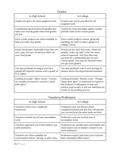| Grades                                                                                                       |                                                                                                                                                                                                                                        |  |
|--------------------------------------------------------------------------------------------------------------|----------------------------------------------------------------------------------------------------------------------------------------------------------------------------------------------------------------------------------------|--|
| In High School                                                                                               | In College                                                                                                                                                                                                                             |  |
| Grades are given for most assigned work.                                                                     | Grades may not be provided for all<br>assigned work.                                                                                                                                                                                   |  |
| Consistently good homework grades may<br>raise your overall grade when test grades<br>are low.               | Grades on tests and major papers usually<br>provide most of the course grade.                                                                                                                                                          |  |
| Extra credit projects are often available to<br>help you raise your grade.                                   | Extra credit projects cannot, generally<br>speaking, be used to raise a grade in a<br>college course.                                                                                                                                  |  |
| Initial test grades, especially when they are<br>now, may not have an adverse effect on<br>your final grade. | Watch out for your first tests. These are<br>usually "wake-up calls" to let you know<br>what is expected--but they also may<br>account for a substantial part of your<br>course grade. You may be shocked when<br>you get your grades. |  |
| You may graduate as long as you have<br>passed all required courses with a grade of<br>D or higher.          | You may graduate only if your average in<br>classes meets the departmental standard.                                                                                                                                                   |  |
| Guiding principle: "Effort counts." Courses<br>are usually structured to reward a "good-<br>faith effort."   | Guiding principle: "Results count." Though<br>"good-faith effort" is important in regard to<br>the professor's willingness to help you<br>achieve good results, it will not substitute for<br>results in the grading process.          |  |

## Teachers/Professors

| In High School                                                                   | In College                                                                                                             |
|----------------------------------------------------------------------------------|------------------------------------------------------------------------------------------------------------------------|
| Teachers check your completed<br>homework.                                       | Professors may not always check<br>completed homework, but hey will assume<br>you can perform the same tasks on tests. |
| Teachers remind you of your incomplete<br>work.                                  | Professors may not remind you of<br>incomplete work.                                                                   |
| Teachers approach you if they believe you<br>need assistance.                    | Professors are usually open and helpful, but<br>most expect you to initiate contact if you<br>need assistance.         |
| Teachers are often available for<br>conversation before, during, or after class. | Professors expect and want you to attend<br>their scheduled office hours.                                              |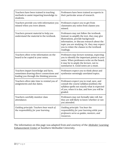| Teachers have been trained in teaching<br>methods to assist imparting knowledge to<br>students.                               | Professors have been trained as experts in<br>their particular areas of research.                                                                                                                                                                                                  |
|-------------------------------------------------------------------------------------------------------------------------------|------------------------------------------------------------------------------------------------------------------------------------------------------------------------------------------------------------------------------------------------------------------------------------|
| Teachers provide you with information you<br>missed when you were absent.                                                     | Professors expect you to get from<br>classmates any notes from classes you<br>missed.                                                                                                                                                                                              |
| Teachers present material to help you<br>understand the material in the textbook.                                             | Professors may not follow the textbook.<br>Instead, to amplify the text, they may give<br>illustrations, provide background<br>information, or discuss research about the<br>topic you are studying. Or, they may expect<br>you to relate the classes to the textbook<br>readings. |
| Teachers often write information on the<br>board to be copied in your notes.                                                  | Professors may lecture nonstop, expecting<br>you to identify the important points in your<br>notes. When professors write on the board,<br>it may be to amply the lecture, not to<br>summarize it. Good notes are a must.                                                          |
| Teachers impart knowledge and facts,<br>sometimes drawing direct connections and<br>leading you through the thinking process. | Professors expect you to think about and<br>synthesize seemingly unrelated topics.                                                                                                                                                                                                 |
| Teachers often take time to remind you of<br>assignments and due dates.                                                       | Professors expect you to read, save, and<br>consult the course syllabus (outline); the<br>syllabus spells out exactly what is expected<br>of you, when it is due, and how you will be<br>graded.                                                                                   |
| Teachers carefully monitor class<br>attendance.                                                                               | Professors may not formally take roll, but<br>they are still likely to know whether or not<br>you attended.                                                                                                                                                                        |
| Guiding principle: Teachers bear much of<br>the responsibility for your learning.                                             | Guiding principle: You bear the<br>responsibility for your learning while your<br>professors serve as guides, mentors, and<br>resources.                                                                                                                                           |

The information on this page was adapted from and courtesy of the <u>Altshuler Learning</u> Enhancement Center at Southern Methodist University.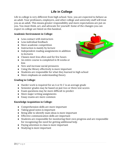## **Life in College**

Life in college is very different from high school. Now, you are expected to behave as an adult. Your professors, employers, and other college and university staff will treat you as an adult. This means greater responsibility and more expectations are put on you. You must think, act, and advocate for yourself. Some of the changes you can expect in college are listed on this handout.

#### **Academic Environment in College:**

- Less contact with instructors
- Less individual feedback
- More academic competition
- Instruction is mainly by lecture
- Independent reading assignments in addition to lectures
- Classes meet less often and for few hours
- An entire course is completed in 16 weeks or less
- New and increase social pressures
- Using the library effectively is more important
- Students are responsible for what they learned in high school
- More emphasis on understanding theory

#### **Grading in College:**

- Harder work is required for an A or B; C is an average grade
- Semester grades may be based on just two or three test scores
- Exam questions may be more difficult to predict
- More major writing assignments
- Essay exams are more common

#### **Knowledge Acquisition in College:**

- Comprehension skills are more important
- Taking good notes is important
- Being able to identify main ideas is more important
- Effective communication skills are important
- Students are responsible for monitoring their own progress and are responsible for recognizing the need for getting additional help
- Paying attention in class is more important
- Studying is more important

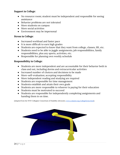#### **Support in College:**

- No resource room; student must be independent and responsible for seeing assistance
- Behavior problems are not tolerated
- More students on campus
- More social activities
- Environment may be impersonal

#### **Stress in College:**

- Increased workload and faster pace
- It is more difficult to earn high grades
- Students are expected to know that they want from college, classes, lift, etc.
- Students need to be able to juggle assignments, job responsibilities, family responsibilities, plus any sports, activities, etc.
- Responsible for planning own weekly schedule

#### **Responsibility in College:**

- Students are more independent and are accountable for their behavior both in class and out, including dorms and extracurricular activities
- Increased number of choices and decisions to be made
- More-self-evaluation; accepting responsibility
- More independent reading and studying are required
- Students are responsible for time management
- Students establish and attain their own goals
- Students are more responsible to whoever is paying for their education
- Students must be motivated to succeed
- Students are responsible for independently completing assignments and handing them in on time.

(Adapted from the WNY Collegiate Consortium of Disability Advocates[, www.ccdamet.org/collegeforme.html\).](http://www.ccdamet.org/collegeforme.html)

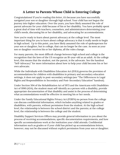## **A Letter to Parents Whose Child is Entering College**

Congratulations! If you're reading this letter, it's because you have successfully navigated your son or daughter through high school. Your child has not begun the journey into higher education. Over the years, you have likely assumed the role of parent advocate for your child because of his or her disability. You have probably spent a great deal of time with teachers, counselors, and administrators determining your child's needs, discussing his or her disability, and advocating for accommodations.

Now you're ready to learn about parent advocacy at the college level. The most important thing for you to learn about college advocacy is that it really needs to begin in high school. Up to this point, you have likely assumed the role of spokesperson for your son or daughter, but in college, that can no longer be the case. As soon as your son or daughter receives his or her diploma, all the rules change.

For many parents, the most difficult change between high school and college is the recognition that the laws of the US recognize an 18-year-old as an adult. At the college level, this means that the student, not the parent, is the advocate. See the handout "Self-Advocacy" for more information about how to help your child become his or her own advocate.

While the Individuals with Disabilities Education Act (IDEA) governs the provision of accommodations for children with disabilities in primary and secondary education settings, it does not apply to post-secondary settings (see "The Differences in Legal Rights and Responsibilities in Secondary and Post-Secondary Education" handout).

Under Section 504 of the Rehabilitation Act of 1973 and the Americans with Disabilities Act of 1990 (ADA), the student must self-identify as a person with a disability, provide appropriate documentation of that disability and assist in the process of determining what accommodations would be effective in meeting his or her needs.

Under the Family Educational Rights Privacy Act (FERPA) no person from the college can discuss confidential information, which includes anything related to grades or disabilities, with parents, without permission from the student. At the high school level, the relationship is between the school district and the parents; at the college level, the relationship is between the college and the student.

Disability Support Services Offices may provide general information to you about the process of receiving accommodations, specific documentation requirements, and how specific accommodations work at the institution your child attends. Confidential information such as grades or if your child has picked up accommodations letters, however, may not be discussed without explicit permission from your son or daughter.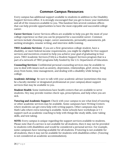## **Common Campus Resources**

Every campus has additional support available to students in addition to the Disability Support Services office. It is strongly encouraged that you get to know your institution and all of the resources available to you. This handout lists several common offices that can help provide opportunities to have the most enjoyable and successful college career.

**Career Services:** Career Services offices are available to help you get the most of your college experience so that you can be prepared for a successful career. Common services include choosing a major, career assessments, personality assessments, job seeking strategies, resume writing, and interview skills training.

**TRIO Academic Services:** if you are a first-generation college student, have a disability, or meet federal income requirements, you might be eligible for free support services and incentives created to help you achieve your goal of graduating in four years. TRIO Academic Services (TAS) is a Student Support Services program that is a part of a network of TRIO programs fully funded by the U.S. Department of Education.

**Counseling Services:** Confidential personal counseling services may be available to you to deal with issues such as anxiety, depression, relationships, grief, stress, living away from home, time management, and dealing with a disability while being in college.

**Academic Advising:** Be sure to talk with your academic advisor (sometimes this may be a faculty member or designated professional on your campus) about support services that may be available to you.

**Student Health:** Some institutions have health centers that are available to serve students. Hey may provide routine check-ups, prescriptions, and help when you are sick.

**Tutoring and Academic Support:** Check with your campus to see what kind of tutoring or other academic services may be available. Some campuses have Writing Centers where students can get extra help with writing papers. Other campuses may have Math Labs where extra tutoring is available. Some schools have workshops or 1-1 support such as academic coaching to help with things like study skills, note-taking skills, and test taking.

**NOTE:** Every campus is unique regarding the support services available to students. Please note that if a service is not available for all students, then it may not be provided to students with disabilities and would be considered a personal service. For example, some campuses have tutoring available for all students. If tutoring is not available for all students, then it may not be available for students with disabilities either. (Tutoring is not considered an academic accommodation).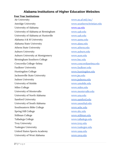## **Alabama Institutions of Higher Education Websites**

#### **Four Year Institutions**

Air University **[www.au.af.mil/au/](http://www.au.af.mil/au/)** Amridge University **WALLACK CONTROLLER WWW.Southernchristian.edu** University of Alabama [www.ua.edu](http://www.ua.edu/) University of Alabama at Birmingham [www.uab.edu](http://www.uab.edu/) University of Alabama at Huntsville [www.uah.edu](http://www.uah.edu/) Alabama A & M University [www.aamu.edu](http://www.aamu.edu/) Alabama State University **WALALA** WWW.alasu.edu Athens State University [www.athens.edu](http://www.athens.edu/) Auburn University [www.auburn.edu](http://www.auburn.edu/) Auburn University at Montgomery [www.aum.edu](http://www.aum.edu/) Birmingham Southern College [www.bsc.edu](http://www.bsc.edu/) Concordia College-Selma [www.concordiaselma.edu](http://www.concordiaselma.edu/) Faulkner University **WALKING CONTACT WAS SERVICT OF THE VEHICLE** STATES AND METAL WAS SERVICED ASSESSMENT OF THE STATES OF THE STATES OF THE STATES OF THE STATES OF THE STATES OF THE STATES OF THE STATES OF THE STATES OF T Huntingdon College [www.huntingdon.edu](http://www.huntingdon.edu/) Jacksonville State University [www.jsu.edu](http://www.jsu.edu/) Judson University [www.judsonu.edu](http://www.judsonu.edu/) University of Mobile [www.umobile.edu](http://www.umobile.edu/) Miles College [www.miles.edu](http://www.miles.edu/) University of Montevallo [www.montevallo.edu](http://www.montevallo.edu/) University of North Alabama [www.una.edu](http://www.una.edu/) Samford University **WALLACK CONTACT SHOW SAMFORD WWW.SAMFORD.** University of South Alabama [www.usouthal.edu](http://www.usouthal.edu/) Southeastern Bible College [www.sebc.edu](http://www.sebc.edu/) Spring Hill College [www.shc.edu](http://www.shc.edu/) Stillman College [www.stillman.edu](http://www.stillman.edu/) Talladega College [www.talladega.edu](http://www.talladega.edu/) Troy University WWW.troy.edu Tuskegee University [www.tuskegee.edu](http://www.tuskegee.edu/) United States Sports Academy [www.ussa.edu](http://www.ussa.edu/) University of West Alabama [www.uwa.edu](http://www.uwa.edu/)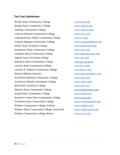#### **Two-Year Institutions:**

Beville State Community College [www.bscc.edu](http://www.bscc.edu/) Bishop State Community College [www.bishop.edu](http://www.bishop.edu/) Calhoun Community College [www.calhoun.edu](http://www.calhoun.edu/) Central Alabama Community College [www.cacc.edu](http://www.cacc.edu/) Chattahoochee Valley Community College [www.cv.edu](http://www.cv.edu/) Coastal Alabama Community College [www.coastalalabama.edu](http://www.coastalalabama.edu/) Drake State Technical College [www.drakestate.edu](http://www.drakestate.edu/) Enterprise State Community College [www.escc.edu](http://www.escc.edu/) Gadsden State Community College [www.gadsdenstate.edu](http://www.gadsdenstate.edu/) Ingram State Technical College [www.istc.edu](http://www.istc.edu/) Jefferson State Community College [www.jscc.cc.al.us](http://www.jscc.cc.al.us/) Lawson State Community College [www.ls.cc.alus](http://www.ls.cc.alus/) Lurleen B. Wallace Community College [www.lbwcc.edu](http://www.lbwcc.edu/) Marion Military Institute [www.marionmilitary.edu](http://www.marionmilitary.edu/) Northeast Alabama Community College [www.nacc.edu](http://www.nacc.edu/) Northwest Shoals Community College [www.nwscc.edu](http://www.nwscc.edu/) Reid State Technical College [www.rstc.edu](http://www.rstc.edu/) Shelton State Community College [www.sheltonstate.edu](http://www.sheltonstate.edu/) Snead State Community College [www.snead.edu](http://www.snead.edu/) Southern Union State Community College [www.suscc.edu](http://www.suscc.edu/) Trenholm State Community College [www.trenholmstate.edu](http://www.trenholmstate.edu/) Wallace Community College-Dothan [www.wallace.edu](http://www.wallace.edu/) Wallace State Community College-Hanceville [www.wallacestate.edu](http://www.wallacestate.edu/) Wallace Community College-Selma [www.wccs.edu](http://www.wccs.edu/)